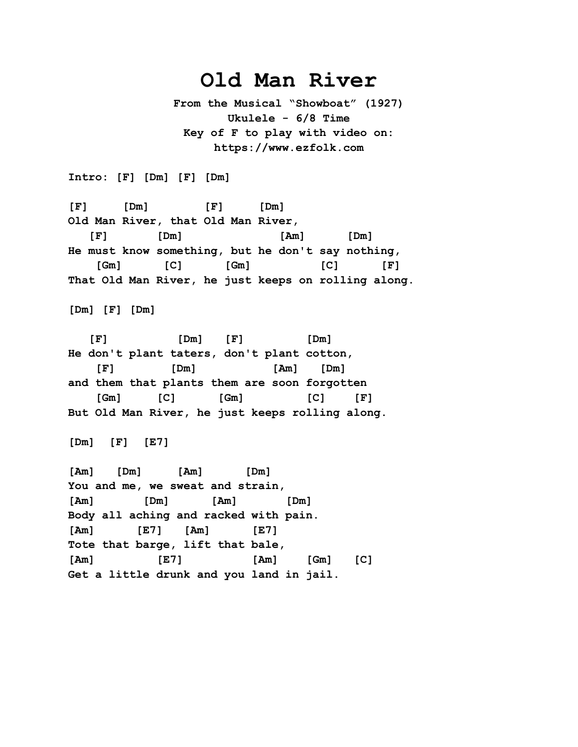## **Old Man River**

**From the Musical "Showboat" (1927) Ukulele - 6/8 Time Key of F to play with video on: https://www.ezfolk.com**

**Intro: [F] [Dm] [F] [Dm]**

**[F] [Dm] [F] [Dm] Old Man River, that Old Man River, [F] [Dm] [Am] [Dm] He must know something, but he don't say nothing, [Gm] [C] [Gm] [C] [F] That Old Man River, he just keeps on rolling along.** 

**[Dm] [F] [Dm]**

 **[F] [Dm] [F] [Dm] He don't plant taters, don't plant cotton, [F] [Dm] [Am] [Dm] and them that plants them are soon forgotten [Gm] [C] [Gm] [C] [F] But Old Man River, he just keeps rolling along.** 

**[Dm] [F] [E7]**

**[Am] [Dm] [Am] [Dm] You and me, we sweat and strain, [Am] [Dm] [Am] [Dm] Body all aching and racked with pain. [Am] [E7] [Am] [E7] Tote that barge, lift that bale, [Am] [E7] [Am] [Gm] [C] Get a little drunk and you land in jail.**